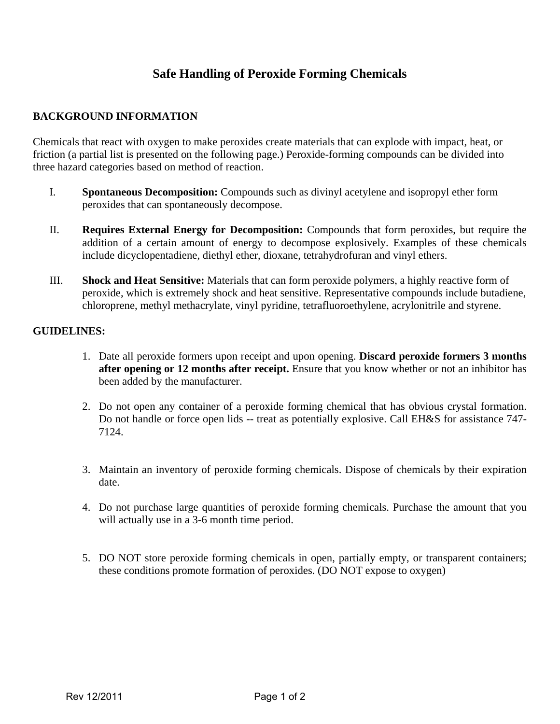## **Safe Handling of Peroxide Forming Chemicals**

## **BACKGROUND INFORMATION**

Chemicals that react with oxygen to make peroxides create materials that can explode with impact, heat, or friction (a partial list is presented on the following page.) Peroxide-forming compounds can be divided into three hazard categories based on method of reaction.

- I. **Spontaneous Decomposition:** Compounds such as divinyl acetylene and isopropyl ether form peroxides that can spontaneously decompose.
- II. **Requires External Energy for Decomposition:** Compounds that form peroxides, but require the addition of a certain amount of energy to decompose explosively. Examples of these chemicals include dicyclopentadiene, diethyl ether, dioxane, tetrahydrofuran and vinyl ethers.
- III. **Shock and Heat Sensitive:** Materials that can form peroxide polymers, a highly reactive form of peroxide, which is extremely shock and heat sensitive. Representative compounds include butadiene, chloroprene, methyl methacrylate, vinyl pyridine, tetrafluoroethylene, acrylonitrile and styrene.

## **GUIDELINES:**

- 1. Date all peroxide formers upon receipt and upon opening. **Discard peroxide formers 3 months**  after opening or 12 months after receipt. Ensure that you know whether or not an inhibitor has been added by the manufacturer.
- 2. Do not open any container of a peroxide forming chemical that has obvious crystal formation. Do not handle or force open lids -- treat as potentially explosive. Call EH&S for assistance 747- 7124.
- 3. Maintain an inventory of peroxide forming chemicals. Dispose of chemicals by their expiration date.
- 4. Do not purchase large quantities of peroxide forming chemicals. Purchase the amount that you will actually use in a 3-6 month time period.
- 5. DO NOT store peroxide forming chemicals in open, partially empty, or transparent containers; these conditions promote formation of peroxides. (DO NOT expose to oxygen)